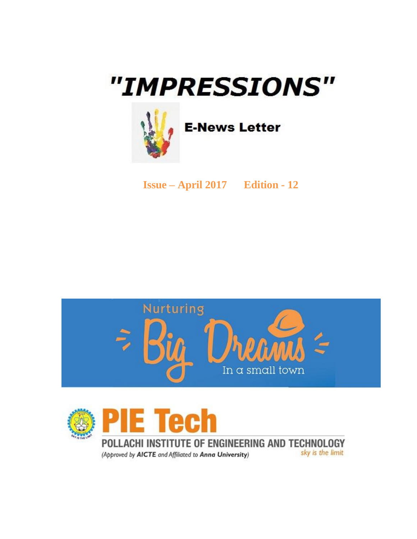# "IMPRESSIONS"



**E-News Letter** 

**Issue – April 2017 Edition - 12**





POLLACHI INSTITUTE OF ENGINEERING AND TECHNOLOGY sky is the limit (Approved by AICTE and Affiliated to Anna University)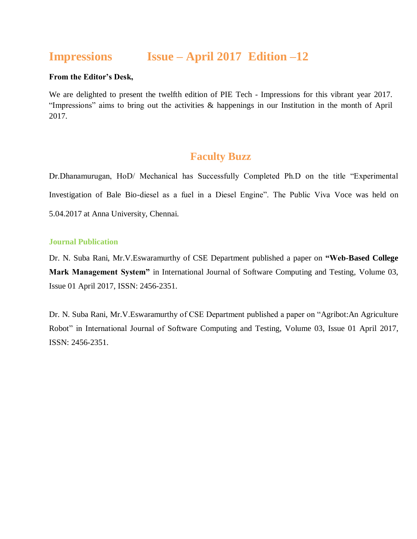## **Impressions Issue – April 2017 Edition –12**

#### **From the Editor's Desk,**

We are delighted to present the twelfth edition of PIE Tech - Impressions for this vibrant year 2017. "Impressions" aims to bring out the activities & happenings in our Institution in the month of April 2017.

## **Faculty Buzz**

Dr.Dhanamurugan, HoD/ Mechanical has Successfully Completed Ph.D on the title "Experimental Investigation of Bale Bio-diesel as a fuel in a Diesel Engine". The Public Viva Voce was held on 5.04.2017 at Anna University, Chennai.

#### **Journal Publication**

Dr. N. Suba Rani, Mr.V.Eswaramurthy of CSE Department published a paper on **"Web-Based College Mark Management System"** in International Journal of Software Computing and Testing, Volume 03, Issue 01 April 2017, ISSN: 2456-2351.

Dr. N. Suba Rani, Mr.V.Eswaramurthy of CSE Department published a paper on "Agribot:An Agriculture Robot" in International Journal of Software Computing and Testing, Volume 03, Issue 01 April 2017, ISSN: 2456-2351.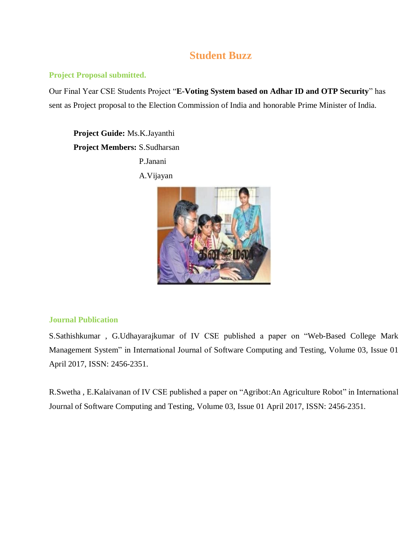## **Student Buzz**

#### **Project Proposal submitted.**

Our Final Year CSE Students Project "**E-Voting System based on Adhar ID and OTP Security**" has sent as Project proposal to the Election Commission of India and honorable Prime Minister of India.

**Project Guide:** Ms.K.Jayanthi **Project Members:** S.Sudharsan P.Janani

A.Vijayan



#### **Journal Publication**

S.Sathishkumar , G.Udhayarajkumar of IV CSE published a paper on "Web-Based College Mark Management System" in International Journal of Software Computing and Testing, Volume 03, Issue 01 April 2017, ISSN: 2456-2351.

R.Swetha , E.Kalaivanan of IV CSE published a paper on "Agribot:An Agriculture Robot" in International Journal of Software Computing and Testing, Volume 03, Issue 01 April 2017, ISSN: 2456-2351.